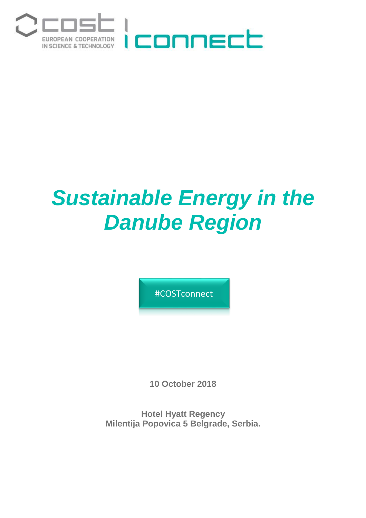

# *Sustainable Energy in the Danube Region*

#COSTconnect

**10 October 2018**

**Hotel Hyatt Regency Milentija Popovica 5 Belgrade, Serbia.**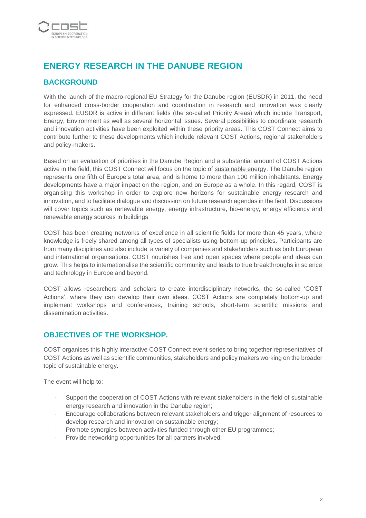

## **ENERGY RESEARCH IN THE DANUBE REGION**

### **BACKGROUND**

With the launch of the macro-regional EU Strategy for the Danube region (EUSDR) in 2011, the need for enhanced cross-border cooperation and coordination in research and innovation was clearly expressed. EUSDR is active in different fields (the so-called Priority Areas) which include Transport, Energy, Environment as well as several horizontal issues. Several possibilities to coordinate research and innovation activities have been exploited within these priority areas. This COST Connect aims to contribute further to these developments which include relevant COST Actions, regional stakeholders and policy-makers.

Based on an evaluation of priorities in the Danube Region and a substantial amount of COST Actions active in the field, this COST Connect will focus on the topic of sustainable energy. The Danube region represents one fifth of Europe's total area, and is home to more than 100 million inhabitants. Energy developments have a major impact on the region, and on Europe as a whole. In this regard, COST is organising this workshop in order to explore new horizons for sustainable energy research and innovation, and to facilitate dialogue and discussion on future research agendas in the field. Discussions will cover topics such as renewable energy, energy infrastructure, bio-energy, energy efficiency and renewable energy sources in buildings

COST has been creating networks of excellence in all scientific fields for more than 45 years, where knowledge is freely shared among all types of specialists using bottom-up principles. Participants are from many disciplines and also include a variety of companies and stakeholders such as both European and international organisations. COST nourishes free and open spaces where people and ideas can grow. This helps to internationalise the scientific community and leads to true breakthroughs in science and technology in Europe and beyond.

COST allows researchers and scholars to create interdisciplinary networks, the so-called 'COST Actions', where they can develop their own ideas. COST Actions are completely bottom-up and implement workshops and conferences, training schools, short-term scientific missions and dissemination activities.

#### **OBJECTIVES OF THE WORKSHOP.**

COST organises this highly interactive COST Connect event series to bring together representatives of COST Actions as well as scientific communities, stakeholders and policy makers working on the broader topic of sustainable energy.

The event will help to:

- Support the cooperation of COST Actions with relevant stakeholders in the field of sustainable energy research and innovation in the Danube region;
- Encourage collaborations between relevant stakeholders and trigger alignment of resources to develop research and innovation on sustainable energy;
- Promote synergies between activities funded through other EU programmes;
- Provide networking opportunities for all partners involved;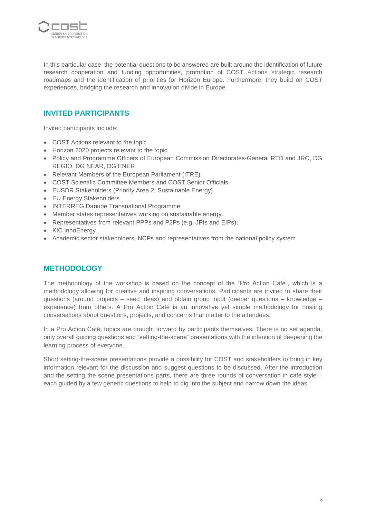

In this particular case, the potential questions to be answered are built around the identification of future research cooperation and funding opportunities, promotion of COST Actions strategic research roadmaps and the identification of priorities for Horizon Europe. Furthermore, they build on COST experiences, bridging the research and innovation divide in Europe.

#### **INVITED PARTICIPANTS**

Invited participants include:

- COST Actions relevant to the topic
- Horizon 2020 projects relevant to the topic
- Policy and Programme Officers of European Commission Directorates-General RTD and JRC, DG REGIO, DG NEAR, DG ENER
- Relevant Members of the European Parliament (ITRE)
- COST Scientific Committee Members and COST Senior Officials
- EUSDR Stakeholders (Priority Area 2: Sustainable Energy)
- EU Energy Stakeholders
- INTERREG Danube Transnational Programme
- Member states representatives working on sustainable energy.
- Representatives from relevant PPPs and P2Ps (e.g. JPIs and EIPs);
- KIC InnoEnergy
- Academic sector stakeholders, NCPs and representatives from the national policy system

#### **METHODOLOGY**

The methodology of the workshop is based on the concept of the "Pro Action Café", which is a methodology allowing for creative and inspiring conversations. Participants are invited to share their questions (around projects – seed ideas) and obtain group input (deeper questions – knowledge – experience) from others. A Pro Action Café is an innovative yet simple methodology for hosting conversations about questions, projects, and concerns that matter to the attendees.

In a Pro Action Café, topics are brought forward by participants themselves. There is no set agenda, only overall guiding questions and "setting-the-scene" presentations with the intention of deepening the learning process of everyone.

Short setting-the-scene presentations provide a possibility for COST and stakeholders to bring in key information relevant for the discussion and suggest questions to be discussed. After the introduction and the setting the scene presentations parts, there are three rounds of conversation in café style – each guided by a few generic questions to help to dig into the subject and narrow down the ideas.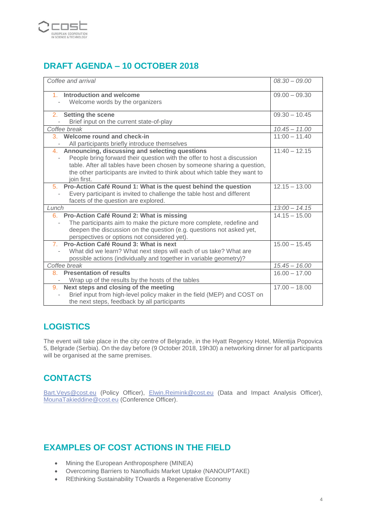

# **DRAFT AGENDA – 10 OCTOBER 2018**

| Coffee and arrival                                                                                                                                                                                                                                                                                   | $08.30 - 09.00$ |
|------------------------------------------------------------------------------------------------------------------------------------------------------------------------------------------------------------------------------------------------------------------------------------------------------|-----------------|
| 1. Introduction and welcome<br>Welcome words by the organizers                                                                                                                                                                                                                                       | $09.00 - 09.30$ |
| 2. Setting the scene<br>Brief input on the current state-of-play                                                                                                                                                                                                                                     | $09.30 - 10.45$ |
| Coffee break                                                                                                                                                                                                                                                                                         | $10.45 - 11.00$ |
| 3. Welcome round and check-in<br>All participants briefly introduce themselves                                                                                                                                                                                                                       | $11:00 - 11.40$ |
| 4. Announcing, discussing and selecting questions<br>People bring forward their question with the offer to host a discussion<br>table. After all tables have been chosen by someone sharing a question,<br>the other participants are invited to think about which table they want to<br>join first. | $11:40 - 12.15$ |
| 5. Pro-Action Café Round 1: What is the quest behind the question<br>Every participant is invited to challenge the table host and different<br>facets of the question are explored.                                                                                                                  | $12.15 - 13.00$ |
| Lunch                                                                                                                                                                                                                                                                                                | $13:00 - 14.15$ |
| 6. Pro-Action Café Round 2: What is missing<br>The participants aim to make the picture more complete, redefine and<br>deepen the discussion on the question (e.g. questions not asked yet,<br>perspectives or options not considered yet).                                                          | $14.15 - 15.00$ |
| 7. Pro-Action Café Round 3: What is next<br>What did we learn? What next steps will each of us take? What are<br>possible actions (individually and together in variable geometry)?                                                                                                                  | $15.00 - 15.45$ |
| Coffee break                                                                                                                                                                                                                                                                                         | $15.45 - 16.00$ |
| <b>Presentation of results</b><br>8 <sub>1</sub><br>Wrap up of the results by the hosts of the tables                                                                                                                                                                                                | $16.00 - 17.00$ |
| 9. Next steps and closing of the meeting<br>Brief input from high-level policy maker in the field (MEP) and COST on<br>the next steps, feedback by all participants                                                                                                                                  | $17.00 - 18.00$ |

## **LOGISTICS**

The event will take place in the city centre of Belgrade, in the Hyatt Regency Hotel, Milentija Popovica 5, Belgrade (Serbia). On the day before (9 October 2018, 19h30) a networking dinner for all participants will be organised at the same premises.

# **CONTACTS**

[Bart.Veys@cost.eu](mailto:Bart.Veys@cost.eu) (Policy Officer), [Elwin.Reimink@cost.eu](mailto:Elwin.Reimink@cost.eu) (Data and Impact Analysis Officer), [MounaTakieddine@cost.eu](mailto:MounaTakieddine@cost.eu) (Conference Officer).

## **EXAMPLES OF COST ACTIONS IN THE FIELD**

- Mining the European Anthroposphere (MINEA)
- Overcoming Barriers to Nanofluids Market Uptake (NANOUPTAKE)
- REthinking Sustainability TOwards a Regenerative Economy